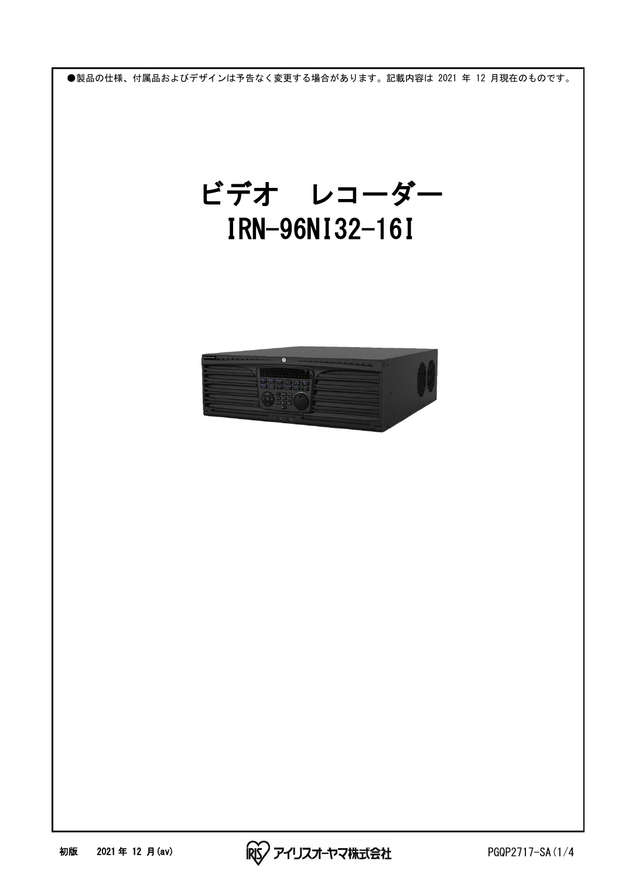

 ビデオ レコーダー IRN-96NI32-16I



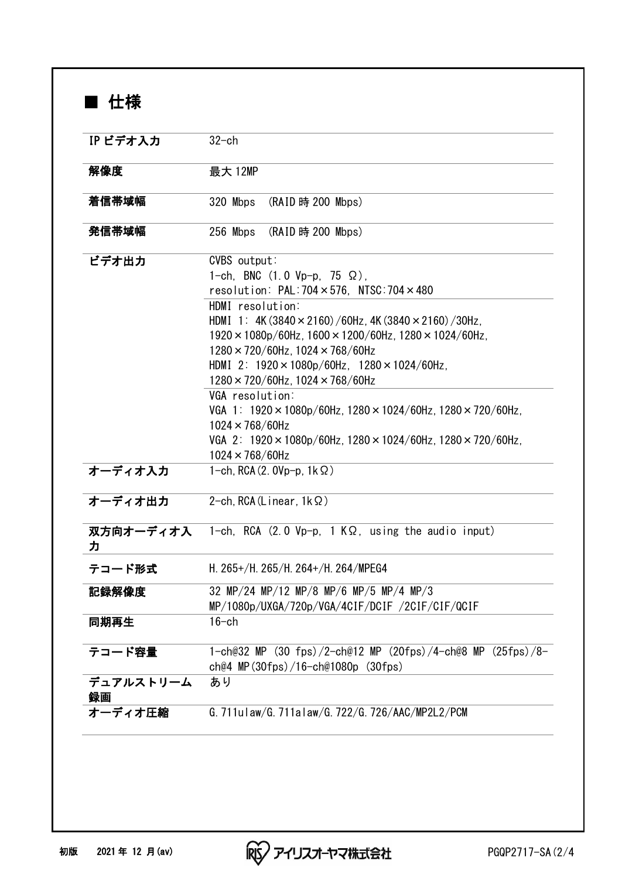■ 仕様

| IP ビデオ入力        |                                                                                                                                                                                                                                                                                                                                                                                                                                                                                                                                                                                                                                                                                                        |  |  |  |
|-----------------|--------------------------------------------------------------------------------------------------------------------------------------------------------------------------------------------------------------------------------------------------------------------------------------------------------------------------------------------------------------------------------------------------------------------------------------------------------------------------------------------------------------------------------------------------------------------------------------------------------------------------------------------------------------------------------------------------------|--|--|--|
|                 | $32$ -ch                                                                                                                                                                                                                                                                                                                                                                                                                                                                                                                                                                                                                                                                                               |  |  |  |
| 解像度             | 最大 12MP                                                                                                                                                                                                                                                                                                                                                                                                                                                                                                                                                                                                                                                                                                |  |  |  |
| 着信帯域幅           | 320 Mbps<br>(RAID 時 200 Mbps)                                                                                                                                                                                                                                                                                                                                                                                                                                                                                                                                                                                                                                                                          |  |  |  |
| 発信帯域幅           | 256 Mbps<br>(RAID 時 200 Mbps)                                                                                                                                                                                                                                                                                                                                                                                                                                                                                                                                                                                                                                                                          |  |  |  |
| ビデオ出力           | CVBS output:<br>1-ch, BNC $(1.0 Vp-p, 75 \Omega)$ ,<br>resolution: $PAL: 704 \times 576$ , NTSC: $704 \times 480$<br>HDMI resolution:<br>HDMI 1: 4K (3840 $\times$ 2160) /60Hz, 4K (3840 $\times$ 2160) /30Hz,<br>$1920 \times 1080p/60$ Hz, $1600 \times 1200/60$ Hz, $1280 \times 1024/60$ Hz,<br>$1280 \times 720/60$ Hz, $1024 \times 768/60$ Hz<br>HDMI 2: $1920 \times 1080p/60Hz$ , $1280 \times 1024/60Hz$ ,<br>$1280 \times 720/60$ Hz, $1024 \times 768/60$ Hz<br>VGA resolution:<br>VGA 1: $1920 \times 1080p/60Hz$ , $1280 \times 1024/60Hz$ , $1280 \times 720/60Hz$ ,<br>$1024 \times 768/60$ Hz<br>VGA 2: $1920 \times 1080p/60$ Hz, $1280 \times 1024/60$ Hz, $1280 \times 720/60$ Hz, |  |  |  |
| オーディオ入力         | $1024 \times 768/60$ Hz<br>1-ch, RCA $(2. 0Vp-p, 1k \Omega)$                                                                                                                                                                                                                                                                                                                                                                                                                                                                                                                                                                                                                                           |  |  |  |
| オーディオ出力         | 2-ch, RCA (Linear, $1k\Omega$ )                                                                                                                                                                                                                                                                                                                                                                                                                                                                                                                                                                                                                                                                        |  |  |  |
| 双方向オーディオ入<br>ヵ  | 1-ch, RCA $(2.0 Vp-p, 1 K\Omega,$ using the audio input)                                                                                                                                                                                                                                                                                                                                                                                                                                                                                                                                                                                                                                               |  |  |  |
| テコード形式          | H. 265+/H. 265/H. 264+/H. 264/MPEG4                                                                                                                                                                                                                                                                                                                                                                                                                                                                                                                                                                                                                                                                    |  |  |  |
| 記録解像度           | 32 MP/24 MP/12 MP/8 MP/6 MP/5 MP/4 MP/3<br>MP/1080p/UXGA/720p/VGA/4CIF/DCIF /2CIF/CIF/QCIF                                                                                                                                                                                                                                                                                                                                                                                                                                                                                                                                                                                                             |  |  |  |
| 同期再生            | $16$ -ch                                                                                                                                                                                                                                                                                                                                                                                                                                                                                                                                                                                                                                                                                               |  |  |  |
| テコード容量          | 1-ch@32 MP (30 fps)/2-ch@12 MP (20fps)/4-ch@8 MP (25fps)/8-<br>ch@4 MP $(30$ fps $)/16$ -ch@1080p $(30$ fps $)$                                                                                                                                                                                                                                                                                                                                                                                                                                                                                                                                                                                        |  |  |  |
| デュアルストリーム<br>録画 | あり                                                                                                                                                                                                                                                                                                                                                                                                                                                                                                                                                                                                                                                                                                     |  |  |  |
| オーディオ圧縮         | G. 711ulaw/G. 711alaw/G. 722/G. 726/AAC/MP2L2/PCM                                                                                                                                                                                                                                                                                                                                                                                                                                                                                                                                                                                                                                                      |  |  |  |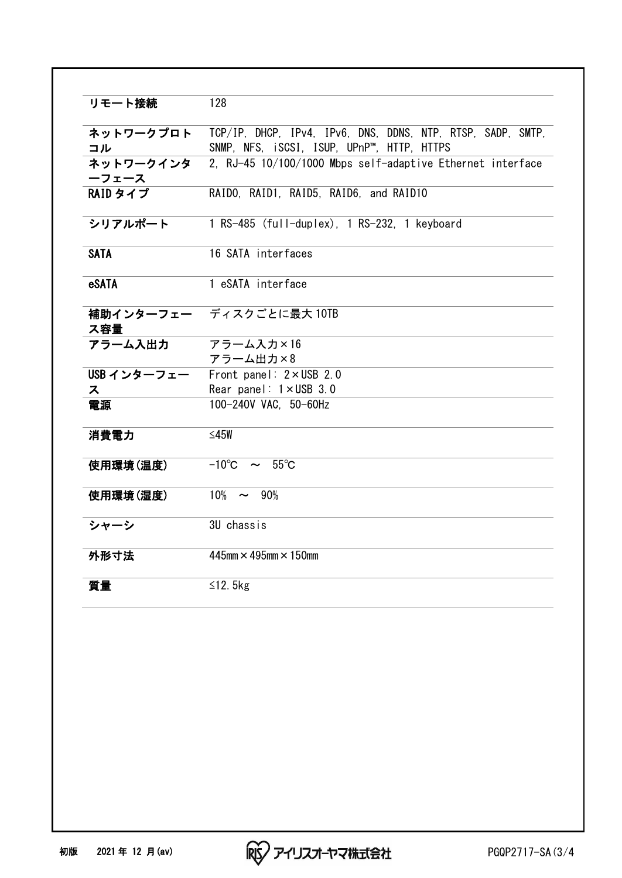| リモート接続      | 128                                                         |  |  |  |
|-------------|-------------------------------------------------------------|--|--|--|
| ネットワークプロト   | TCP/IP, DHCP, IPv4, IPv6, DNS, DDNS, NTP, RTSP, SADP, SMTP, |  |  |  |
| コル          | SNMP, NFS, iSCSI, ISUP, UPnP™, HTTP, HTTPS                  |  |  |  |
| ネットワークインタ   | 2, RJ-45 10/100/1000 Mbps self-adaptive Ethernet interface  |  |  |  |
| ーフェース       |                                                             |  |  |  |
| RAID タイプ    | RAIDO, RAID1, RAID5, RAID6, and RAID10                      |  |  |  |
| シリアルポート     | 1 RS-485 (full-duplex), 1 RS-232, 1 keyboard                |  |  |  |
| <b>SATA</b> | 16 SATA interfaces                                          |  |  |  |
| eSATA       | 1 eSATA interface                                           |  |  |  |
| ス容量         | 補助インターフェー ディスクごとに最大 10TB                                    |  |  |  |
| アラーム入出力     | アラーム入力×16                                                   |  |  |  |
|             | アラーム出力×8                                                    |  |  |  |
| USB インターフェー | Front panel: $2 \times$ USB 2.0                             |  |  |  |
| ス           | Rear panel: $1 \times$ USB 3.0                              |  |  |  |
| 電源          | 100-240V VAC, 50-60Hz                                       |  |  |  |
| 消費電力        | $≤45W$                                                      |  |  |  |
| 使用環境(温度)    | $-10^{\circ}$ C $\sim$ 55 <sup>°</sup> C                    |  |  |  |
| 使用環境(湿度)    | $10\% \sim 90\%$                                            |  |  |  |
| シャーシ        | 3U chassis                                                  |  |  |  |
| 外形寸法        | $445$ mm $\times$ 495mm $\times$ 150mm                      |  |  |  |
| 質量          | $\leq$ 12. 5kg                                              |  |  |  |